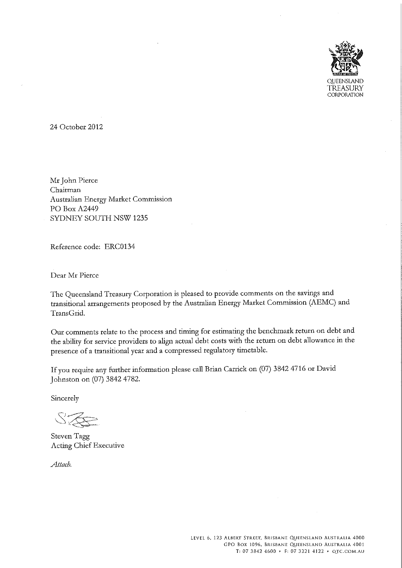

24 October 2012

Mr John Pierce Chairman Australian Energy Market Commission PO Box A2449 SYDNEY SOUTH NSW 1235

Reference code: ERC0134

Dear Mr Pierce

The Queensland Treasury Corporation is pleased to provide comments on the savings and transitional arrangements proposed by the Australian Energy Market Commission (AEMC) and TransGrid.

Our comments relate to the process and timing for estimating the benchmark return on debt and the ability for service providers to align actual debt costs with the return on debt allowance in the presence of a transitional year and a compressed regulatory timetable.

If you require any further information please call Brian Carrick on (07) 3842 4716 or David Johnston on (07) 3842 4782.

Sincerely

Steven Tagg Acting Chief Executive

Attach.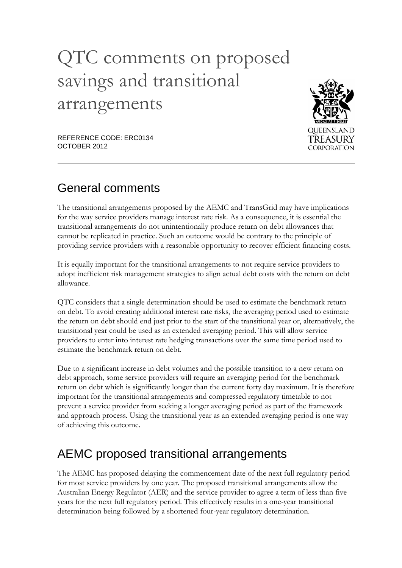# QTC comments on proposed savings and transitional arrangements



REFERENCE CODE: ERC0134 OCTOBER 2012

## General comments

The transitional arrangements proposed by the AEMC and TransGrid may have implications for the way service providers manage interest rate risk. As a consequence, it is essential the transitional arrangements do not unintentionally produce return on debt allowances that cannot be replicated in practice. Such an outcome would be contrary to the principle of providing service providers with a reasonable opportunity to recover efficient financing costs.

It is equally important for the transitional arrangements to not require service providers to adopt inefficient risk management strategies to align actual debt costs with the return on debt allowance.

QTC considers that a single determination should be used to estimate the benchmark return on debt. To avoid creating additional interest rate risks, the averaging period used to estimate the return on debt should end just prior to the start of the transitional year or, alternatively, the transitional year could be used as an extended averaging period. This will allow service providers to enter into interest rate hedging transactions over the same time period used to estimate the benchmark return on debt.

Due to a significant increase in debt volumes and the possible transition to a new return on debt approach, some service providers will require an averaging period for the benchmark return on debt which is significantly longer than the current forty day maximum. It is therefore important for the transitional arrangements and compressed regulatory timetable to not prevent a service provider from seeking a longer averaging period as part of the framework and approach process. Using the transitional year as an extended averaging period is one way of achieving this outcome.

# AEMC proposed transitional arrangements

The AEMC has proposed delaying the commencement date of the next full regulatory period for most service providers by one year. The proposed transitional arrangements allow the Australian Energy Regulator (AER) and the service provider to agree a term of less than five years for the next full regulatory period. This effectively results in a one-year transitional determination being followed by a shortened four-year regulatory determination.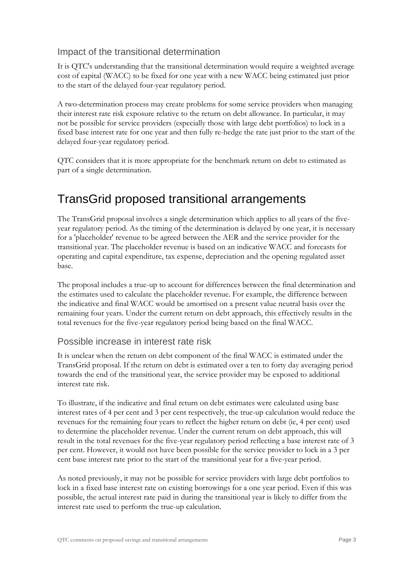#### Impact of the transitional determination

It is QTC's understanding that the transitional determination would require a weighted average cost of capital (WACC) to be fixed for one year with a new WACC being estimated just prior to the start of the delayed four-year regulatory period.

A two-determination process may create problems for some service providers when managing their interest rate risk exposure relative to the return on debt allowance. In particular, it may not be possible for service providers (especially those with large debt portfolios) to lock in a fixed base interest rate for one year and then fully re-hedge the rate just prior to the start of the delayed four-year regulatory period.

QTC considers that it is more appropriate for the benchmark return on debt to estimated as part of a single determination.

### TransGrid proposed transitional arrangements

The TransGrid proposal involves a single determination which applies to all years of the fiveyear regulatory period. As the timing of the determination is delayed by one year, it is necessary for a 'placeholder' revenue to be agreed between the AER and the service provider for the transitional year. The placeholder revenue is based on an indicative WACC and forecasts for operating and capital expenditure, tax expense, depreciation and the opening regulated asset base.

The proposal includes a true-up to account for differences between the final determination and the estimates used to calculate the placeholder revenue. For example, the difference between the indicative and final WACC would be amortised on a present value neutral basis over the remaining four years. Under the current return on debt approach, this effectively results in the total revenues for the five-year regulatory period being based on the final WACC.

#### Possible increase in interest rate risk

It is unclear when the return on debt component of the final WACC is estimated under the TransGrid proposal. If the return on debt is estimated over a ten to forty day averaging period towards the end of the transitional year, the service provider may be exposed to additional interest rate risk.

To illustrate, if the indicative and final return on debt estimates were calculated using base interest rates of 4 per cent and 3 per cent respectively, the true-up calculation would reduce the revenues for the remaining four years to reflect the higher return on debt (ie, 4 per cent) used to determine the placeholder revenue. Under the current return on debt approach, this will result in the total revenues for the five-year regulatory period reflecting a base interest rate of 3 per cent. However, it would not have been possible for the service provider to lock in a 3 per cent base interest rate prior to the start of the transitional year for a five-year period.

As noted previously, it may not be possible for service providers with large debt portfolios to lock in a fixed base interest rate on existing borrowings for a one year period. Even if this was possible, the actual interest rate paid in during the transitional year is likely to differ from the interest rate used to perform the true-up calculation.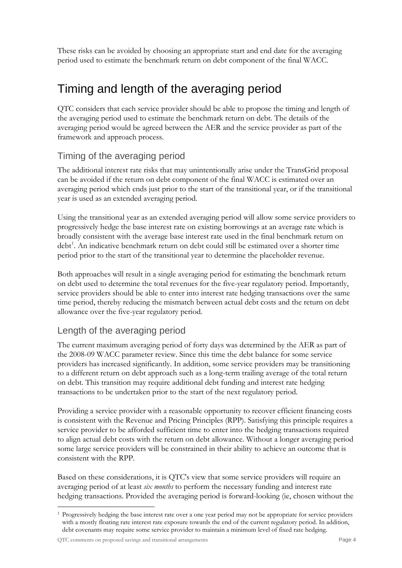These risks can be avoided by choosing an appropriate start and end date for the averaging period used to estimate the benchmark return on debt component of the final WACC.

# Timing and length of the averaging period

QTC considers that each service provider should be able to propose the timing and length of the averaging period used to estimate the benchmark return on debt. The details of the averaging period would be agreed between the AER and the service provider as part of the framework and approach process.

#### Timing of the averaging period

The additional interest rate risks that may unintentionally arise under the TransGrid proposal can be avoided if the return on debt component of the final WACC is estimated over an averaging period which ends just prior to the start of the transitional year, or if the transitional year is used as an extended averaging period.

Using the transitional year as an extended averaging period will allow some service providers to progressively hedge the base interest rate on existing borrowings at an average rate which is broadly consistent with the average base interest rate used in the final benchmark return on debt<sup>[1](#page-3-0)</sup>. An indicative benchmark return on debt could still be estimated over a shorter time period prior to the start of the transitional year to determine the placeholder revenue.

Both approaches will result in a single averaging period for estimating the benchmark return on debt used to determine the total revenues for the five-year regulatory period. Importantly, service providers should be able to enter into interest rate hedging transactions over the same time period, thereby reducing the mismatch between actual debt costs and the return on debt allowance over the five-year regulatory period.

#### Length of the averaging period

The current maximum averaging period of forty days was determined by the AER as part of the 2008-09 WACC parameter review. Since this time the debt balance for some service providers has increased significantly. In addition, some service providers may be transitioning to a different return on debt approach such as a long-term trailing average of the total return on debt. This transition may require additional debt funding and interest rate hedging transactions to be undertaken prior to the start of the next regulatory period.

Providing a service provider with a reasonable opportunity to recover efficient financing costs is consistent with the Revenue and Pricing Principles (RPP). Satisfying this principle requires a service provider to be afforded sufficient time to enter into the hedging transactions required to align actual debt costs with the return on debt allowance. Without a longer averaging period some large service providers will be constrained in their ability to achieve an outcome that is consistent with the RPP.

Based on these considerations, it is QTC's view that some service providers will require an averaging period of at least *six months* to perform the necessary funding and interest rate hedging transactions. Provided the averaging period is forward-looking (ie, chosen without the

<span id="page-3-0"></span> <sup>1</sup> Progressively hedging the base interest rate over a one year period may not be appropriate for service providers with a mostly floating rate interest rate exposure towards the end of the current regulatory period. In addition, debt covenants may require some service provider to maintain a minimum level of fixed rate hedging.